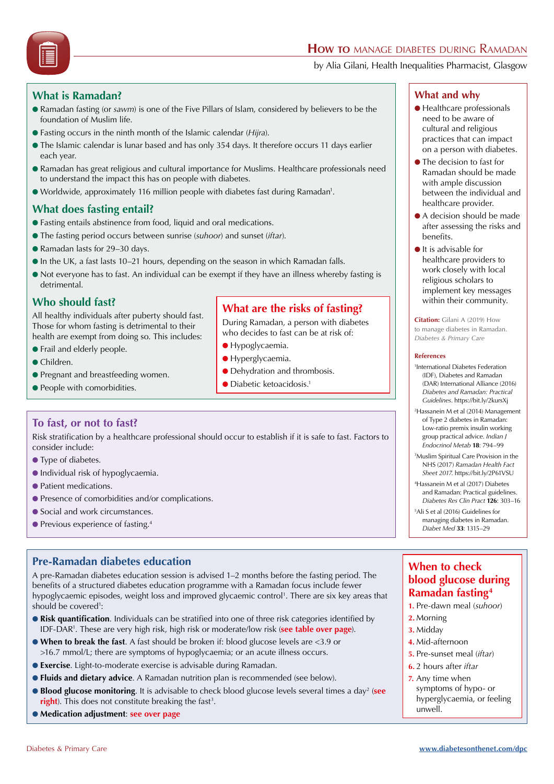# **How to** manage diabetes during Ramadan

by Alia Gilani, Health Inequalities Pharmacist, Glasgow

# **What is Ramadan?**

- l Ramadan fasting (or *sawm*) is one of the Five Pillars of Islam, considered by believers to be the foundation of Muslim life.
- l Fasting occurs in the ninth month of the Islamic calendar (*Hijra*).
- l The Islamic calendar is lunar based and has only 354 days. It therefore occurs 11 days earlier each year.
- l Ramadan has great religious and cultural importance for Muslims. Healthcare professionals need to understand the impact this has on people with diabetes.
- Worldwide, approximately 116 million people with diabetes fast during Ramadan<sup>1</sup>.

# **What does fasting entail?**

- l Fasting entails abstinence from food, liquid and oral medications.
- l The fasting period occurs between sunrise (*suhoor*) and sunset (*iftar*).
- Ramadan lasts for 29-30 days.
- $\bullet$  In the UK, a fast lasts 10–21 hours, depending on the season in which Ramadan falls.
- l Not everyone has to fast. An individual can be exempt if they have an illness whereby fasting is detrimental.

# **Who should fast?**

All healthy individuals after puberty should fast. Those for whom fasting is detrimental to their health are exempt from doing so. This includes:

- Frail and elderly people.
- Children.
- Pregnant and breastfeeding women.
- **People with comorbidities.**

# **What are the risks of fasting?**

During Ramadan, a person with diabetes who decides to fast can be at risk of:

- **Hypoglycaemia.**
- **Hyperglycaemia.**
- **Dehydration and thrombosis.**
- $\bullet$  Diabetic ketoacidosis.<sup>1</sup>

# **To fast, or not to fast?**

Risk stratification by a healthcare professional should occur to establish if it is safe to fast. Factors to consider include:

- **I** Type of diabetes.
- l Individual risk of hypoglycaemia.
- **Patient medications.**
- Presence of comorbidities and/or complications.
- Social and work circumstances.
- $\bullet$  Previous experience of fasting.<sup>4</sup>

# **Pre-Ramadan diabetes education**

A pre-Ramadan diabetes education session is advised 1–2 months before the fasting period. The benefits of a structured diabetes education programme with a Ramadan focus include fewer hypoglycaemic episodes, weight loss and improved glycaemic control 1 . There are six key areas that should be covered<sup>1</sup>:

- **Risk quantification.** Individuals can be stratified into one of three risk categories identified by IDF-DAR1 . These are very high risk, high risk or moderate/low risk (**see table over page**).
- **.** When to break the fast. A fast should be broken if: blood glucose levels are <3.9 or >16.7 mmol/L; there are symptoms of hypoglycaemia; or an acute illness occurs.
- **Exercise**. Light-to-moderate exercise is advisable during Ramadan.
- **Fluids and dietary advice**. A Ramadan nutrition plan is recommended (see below).
- **Blood glucose monitoring**. It is advisable to check blood glucose levels several times a day<sup>2</sup> (see **right**). This does not constitute breaking the fast<sup>3</sup>.
- l **Medication adjustment**: **see over page**

### **What and why**

- $\bullet$  Healthcare professionals need to be aware of cultural and religious practices that can impact on a person with diabetes.
- **The decision to fast for** Ramadan should be made with ample discussion between the individual and healthcare provider.
- A decision should be made after assessing the risks and benefits.
- $\bullet$  It is advisable for healthcare providers to work closely with local religious scholars to implement key messages within their community.

**Citation:** Gilani A (2019) How to manage diabetes in Ramadan. *Diabetes & Primary Care*

#### **References**

- 1 International Diabetes Federation (IDF), Diabetes and Ramadan (DAR) International Alliance (2016) *Diabetes and Ramadan: Practical Guidelines*. https://bit.ly/2kursXj
- 2 Hassanein M et al (2014) Management of Type 2 diabetes in Ramadan: Low-ratio premix insulin working group practical advice. *Indian J Endocrinol Metab* **18**: 794–99
- 3 Muslim Spiritual Care Provision in the NHS (2017) *Ramadan Health Fact Sheet 2017*. https://bit.ly/2P61VSU
- 4 Hassanein M et al (2017) Diabetes and Ramadan: Practical guidelines. *Diabetes Res Clin Pract* **126**: 303–16
- 5 Ali S et al (2016) Guidelines for managing diabetes in Ramadan. *Diabet Med* **33**: 1315–29

# **When to check blood glucose during Ramadan fasting4**

- **1.** Pre-dawn meal (*suhoor*)
- **2.** Morning
- **3.** Midday
- **4.** Mid-afternoon
- **5.** Pre-sunset meal (*iftar*)
- **6.** 2 hours after *iftar*
- **7.** Any time when symptoms of hypo- or hyperglycaemia, or feeling unwell.